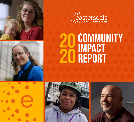



## COMMUNITY impact report 20 20





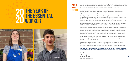## **THE YEAR OF THE ESSENTIAL** WORKER 20 20



The COVID-19 pandemic changed the world of work virtually overnight. Everyone had to adapt to a new way of doing things to keep each other safe. In the process, we quickly got introduced to new phrases like social distancing, Zoom meeting, and the inevitable "you're on mute."

But one of the most powerful new phrases of 2020 was "essential worker." These are the women and men serving in roles that put them on the frontlines in the fight against the coronavirus and kept vital goods and services moving during a time of uncertainty.

One thing jumped out to all of us at Easterseals right away. Most of the people who turned to us for job training and development over the years are now working in roles considered essential. From healthcare workers to construction workers, grocery workers to supply chain workers, so many people who got their start at Easterseals were playing a major role in keeping our economy going.

Easterseals has never been a bystander to history. We were founded as an agency of action. Our employees met the moment to keep our services running throughout the pandemic.

Pam Green, President & CE Pam Green

## **A NOTE FROM** Our CEO

We forged new partnerships to take our Adult Day Services directly into group homes to provide critical lifelines of support. We produced thousands of clinical testing kits used in COVID-19 research. We served as the central hub for distributing PPE to Easterseals affiliates across the country. Our teams made thousands of wellness checks to ensure basic needs were being met. And during the worst jobs crisis in years, we connected more than 60 veterans to employment.

While many nonprofits struggled in 2020, we were able to rise above thanks to the support and investment from people like you. We were empowered to act because you encouraged us to push forward. You made our work essential.

Our work ahead now focuses on the pandemic recovery. We know so many people who were furloughed or working low-wage jobs are eager to find better opportunities for sustainable careers. People living with disabilities who stayed home for safety are eager to return to the community.

## **And we'll be here for them because you make it possible. THANK YOU for your partnership and investment in creating Breakthrough Moments for thousands of people across Greater Cincinnati.**

Warm Regards,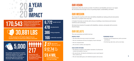We change the way the world views and defines disability by making profound and positive differences in people's lives every day.

In Greater Cincinnati, we do this with a focus on building a more diverse and inclusive workforce and community.

We break down barriers for people with disabilities, veterans, and people with economic disadvantages.

Easterseals will be the premier provider of workforce and disability services in our region. We will achieve this through a focus on growing impact, sustainability, and talent.

## our mission

## our VISION

## OUR beliefs

The core convictions we hold to be true:

## **PEOPLE FIRST FORWARD FOCUS**

## **HIGH EXPECTATIONS**

face shields assembled for frontline **healthcare workers at UC Health and Cincinnati Children's Hospital in partnership with the University of Cincinnati 1819 Innovation Hub**



- We treat others the way we want to be treated. **•**
- We are considerate and honor the dignity of each individual. **•**
- We are compassionate. **•**
- We are direct, truthful, and respectful. **•**
- We learn from all experiences, both successes **•** and failures.
- We think big, take risks, and try new ideas. **•**

- We dedicate ourselves to the highest standards of professional **•** conduct and quality of service.
- We raise the bar. We help the individuals we serve reach beyond **•** their comfort zone.
- We set measurable goals, and celebrate progress and success. **•**



# 30,881 LBS

**of PPE donated by CVS Health shipped from our Hamilton facility to Easterseals affiliates nationwide**

**clinical research kits assembled by Easterseals Production & Fulfillment, including kits used for COVID-19 research**

> **Easterseals staff working throughout the pandemic to deliver essential services**



27 **high school diplomas earned**

6,772 478 **people served job placements**

386 **hiring companies** 

166 **credentials awarded**

\$9.4 MIL **in estimated potential first-year earnings** 



## A year of IMPACT 20 20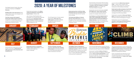## 2020: A YEAR OF MILESTONES

Pam Beigh, Brandon Painter, Nina Paul, and Alicia Tidwell join the **Board of Directors.**

**Building Value crews deconstruct** Ohio's largest tobacco barn and salvaged much of the barn's lumber.

**Fred Heis receives the inaugural Easterseals Golden Hammer Award** in recognition of outstanding support and service as a founding member of the Construction Advisory Council.





**Easterseals partners with Ohio Valley Residential Services and Halom House** to provide adult day services in group home settings.

**The Easterseals Military & Veteran Services Town Hall Forum** becomes the agency's first virtual event, bringing together more than 90 people interested in veterans' issues.

JANUARY **George Construction of the Construction of the MAT APRIL MAY Construction of the MAY Construction of the MA**  $\ddotsc$ easterseals

Easterseals participates in the **ribbon cutting and dedication of the Melrose Impact Center** in Walnut Hills.

John Jimenez, Ruth Woodard, and Christopher Lee of Easterseals Adult Day Services receive **top honors at the Special Olympics Hamilton County Art Show** and had their works displayed at CAM and Mayerson JCC.

The University of Cincinnati 1819 Innovation Hub turns to Easterseals for its kit assembly to **produce 5,000 face shields for frontline healthcare workers** at UC Health and Cincinnati Children's Hospital.

Easterseals' second virtual event, the **Hard Hat Happy Hour, raises nearly \$10,000** for construction training while offering a preview of a modular construction lab.

**Scott Robinson and Chris Macklin bike 22 miles of the Loveland Bike Trail to honor and raise funds for Easterseals Military & Veteran Services**. This event inspires the Easterseals Honor Ride, a community event open to public participation in 2021.

The US Department of Labor awards Easterseals a **three-year, \$1.2 million grant** to provide YouthBuild pre-apprenticeship training in

Hamilton County.

Launch of the first **Work & Grow Summer Camp** — a place where campers learn about their career options for community employment while building friendships.

**Easterseals provides emergency travel funds to Navy Veteran Roy Fulps**, referred by the Cincinnati VA Hospital, to supplement the VA coverage of his life-saving surgery.

Easterseals is awarded a **three-year federal grant** to provide job training services under the Homeless Veterans Reintegration Program.

Easterseals is one of 14 organizations **awarded a Youth Apprenticeship Readiness grant** by the US Department of Labor.

CINCINNATI LIFTS INCLUSION AND MINORITY BUSINESS

 $\bullet$ 

Easterseals joins organizations across Greater Cincinnati in **celebrating the 30th anniversary of the Americans with Disabilities Act**.

**Easterseals FastTrac is named the People's Choice Award winner** in online voting for the Google.org Impact Challenge.

**The Port of Greater Cincinnati contracts with Easterseals' Building Value program** to join the deconstruction of the abandoned Millennium Hotel in Downtown Cincinnati.

**The Brighter Futures Celebration is transformed from an in-person event into a television special** on WCPO 9. The show allows thousands of viewers from around the TriState to learn about Easterseals' work in creating #BreakthroughMoments on the journey to employment.

The Cincinnati Metropolitan Housing Authority honors Easterseals with the **Partnership Award**  during the annual Property Owners Celebration.

Easterseals YouthBuild **delivers 25 beds** to lower income families struggling to furnish their homes. **Donors raised nearly \$6,000** to cover the cost of materials. The OneSource Center, Standard Textile, and Good 360 helped **fund new mattresses and bedding**.



The Cincinnati Business Courier presents the **CLIMB (Cincinnati Lifts Inclusion and Minority Business) Award to Messer Construction and Easterseals** for collaborating on the Uptown Workforce Development Initiative.

Author and philanthropist MacKenzie Scott chooses Easterseals to be one of the 384 nonprofit organizations to **share in \$5.7 billion in unrestricted giving**.



**6**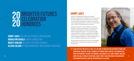# This program essentially gave me the opportunity of a lifetime."



Danny was diagnosed as being on the Autism spectrum in high school. Academics came easy to him, but he struggled with social interactions. He worked in various technology jobs, but started to see that he wasn't getting opportunities to advance into leadership roles. He left IT and found work as a barista.

## **UGHTER FUTURES DANNY LAKES CELEBRATION** HONOREES 20 20

## DANNY LAKES P&G AND EASTERSEALS JOB COACHING BROOKLYNN HERALD CAREER CONNECTION **MICKEY HARLOW MILITARY & VETERAN SERVICES** ALESHA COLSON Uptown Workforce Development Initiative

 $\blacktriangle\blacktriangle$  it was the first time in My life that I felt any sort of employer took an interest in who I was versus what I could do. I'm able to grow as the person I knew I could be, I just needed to be given the opportunity. Without this program, I was honestly lost. I didn't know if I was ever going to be able to move out on my own. I wasn't sure if I was ever going to be independent. **8 9**

His parents learned of a new initiative at Procter & Gamble to expand neurodiversity in its workforce by creating roles designed to embrace the skills and talents of people with autism. The program brought in Easterseals job coaches to support the candidates' transition into a corporate environment, and to work with neurotypical employees to better understand how autism can affect interpersonal communication.

Danny applied and became one of four new managers on P&G's Smart Automation DevOps team for Order Management.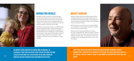My support system, whether it be from my mom, or Marshall, or Easterseals, those people helped me strive to do better things. You need to hold on to anything that's positive when you're going through an

Brooklynn turned to drugs as a young teenager to cope with problems at home that were beyond her control. She fell into the wrong crowd and quit school. When she turned 18, she learned she was pregnant. It was the push she needed to turn her life around and build a better life for her child.

addiction, and keep fighting for that and hoping for better days." The Magnetic Magnetic Magnetic Magnetic Magnetic Magnetic Magnetic Magnetic Magnetic Magnetic Magnetic Magnetic Magnetic Magnetic Magnetic Magnetic Magneti  $\blacksquare$ I don't think I would have made it through this process without Easterseals. In these programs you'll find people in the same boat that you are. You lean on each other, and you'll get through it. You got to want it. You got to stay committed. Just whatever you do: don't give up hope."



Brooklynn refocused her energy on completing high school. Easterseals Career Connection provided her with supports so she could earn her diploma at Marshall High School in Middletown while exploring career options. At the age of 20, Brooklynn achieved her goal of being a high school graduate. It also brought a promotion and a pay increase as a retail manager.



## Brooklynn Herald

Mickey, a Marine veteran, was badly injured when a rockslide pushed his tractor trailer off the road. He was prescribed powerful painkillers for his injuries, to which he became addicted, turning to self-medication when his treatment ended.

While working as a truck driver in Cincinnati, Mickey was arrested for driving while intoxicated. It cost him his job, his home, and his family.

Mickey turned to Easterseals Military & Veteran Services to rebuild his life. With the support of his job coaches, he rebuilt his resume, got a job and started earning an income again. He was able to move out of a shelter into his own apartment and reconnect with his children.

## MICKEY HARLOW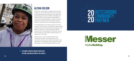I'm always trying to recruit people into getting a job and getting off the streets. "

Alesha was recovering from health issues and was looking for a career that would allow her to become more physically active and make a living wage. She learned about the Uptown Workforce Development Initiative (UWDI), a new program through Messer Construction and Easterseals, to provide on-the-job construction training on the site of the Cincinnati Children's Hospital Critical Care Building expansion.

The grandmother of two always showed up on time and put in the hard work. Her attention to detail quickly caught the eye of her Easterseals job developers and Messer Construction. She was invited to play an important role of overseeing the "final clean," the last step to make sure every detail is perfect before it is turned over to the client.

Alesha is now one of the top advocates in her community for others to find their place in the construction industry. She continues to speak to new participants in the Building Value program and takes participants in the UWDI program under her wing.

# **20 PARTNEL**

**WeAreBuilding.** 



## Alesha colson

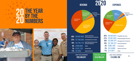## THE YEAR<br>RY THE **THE** NUMBERS 20 20

|       | <b>REVENUE</b>                   |                                                                                                                                    |                                                            | ZU.                      | <b>FXPF</b>                                                                                                    |
|-------|----------------------------------|------------------------------------------------------------------------------------------------------------------------------------|------------------------------------------------------------|--------------------------|----------------------------------------------------------------------------------------------------------------|
|       | <b>Contributions</b><br>& Grants | <b>Self-Generated</b><br><b>Income/Social</b><br><b>Enterprise</b><br><b>Fee for Services</b><br>& Performance<br><b>Contracts</b> | <b>United Way</b><br><b>Special Events</b><br><b>Other</b> |                          | <b>Soci</b><br><b>Ente</b><br><b>Management</b><br>& General<br><b>Disadvantaged</b><br><b>Services</b><br>Dis |
| 44%   | (S8,903,090)                     | <b>Fee for Services</b><br>& Performance Contracts                                                                                 |                                                            | 42%                      | (S5, 942, 667)                                                                                                 |
| 37%   | (S7, 550, 289)                   | <b>Contributions &amp; Grants</b>                                                                                                  |                                                            | <b>21%</b>               | (S2, 961, 833)                                                                                                 |
| 14%   | (S2, 784, 113)                   | Self Generated Income/<br><b>Social Enterprise</b>                                                                                 |                                                            | <b>16%</b><br><b>15%</b> | (S2, 308, 757)<br>(S2, 186, 157)                                                                               |
| 4%    | (S908, 669)                      | <b>Other</b>                                                                                                                       |                                                            | 3%                       | (S465, 105)                                                                                                    |
|       | 1% [\$197,174]                   | <b>United Way</b>                                                                                                                  |                                                            | $2\%$                    | (S214,086)                                                                                                     |
| $1\%$ | (S2, 696)                        | <b>Special Events</b>                                                                                                              |                                                            | $1\%$                    | (S17, 591)                                                                                                     |
|       |                                  |                                                                                                                                    |                                                            |                          |                                                                                                                |

**Ceaster** 



|                                     | $42\%$ $(S5,942,667)$ Disability Services    |
|-------------------------------------|----------------------------------------------|
|                                     | $21\%$ $(S2,961,833)$ Disadvantaged Services |
|                                     | 16% [\$2,308,757] Management & General       |
| 15% [\$2,186,157] Social Enterprise |                                              |
| 3% [\$465,105]                      | <b>Fundraising</b>                           |
| 2% [\$214,086]                      | <b>Veteran Services</b>                      |
| <1% [\$17,591]                      | <b>Other</b>                                 |
|                                     |                                              |

## **2020 TOTAL EXPENSE:**

\$20,346,031 \$14,096,196 \$14,765,474 **2020 TOTAL REVENUE:**

# REVENUE 2020 EXPENSES



## **TOTAL NET ASSETS:**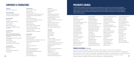## CORPORATE & FOUNDATIONS

## **\$500,000+**

National Philanthropic Trust

## **\$100,000-\$499,999**

Google.org Impact Challenge Ohio United Way of Greater Cincinnati

## **\$50,000-\$99,999**

CVS Health Greater Cincinnati Foundation Hatton Foundation JVS Foundation Messer Construction Co. The Carol Ann and Ralph V. Haile, Jr. Foundation

## **\$25,000-\$49,999**

Bethesda Inc.

Butler County United Way, Hamilton Community Foundation, United Way of Warren County and the Warren County Foundation

Cincinnati-Hamilton County Community Action Agency

Fifth Third Bank

The Spaulding Foundation

Daniel and Susan Pfau Foundation

## **\$15,000-\$24,999**

Duke Energy Foundation Paycor, Inc. The Amy & George Joseph Fund The Kroger Co.

## **\$5,000-\$14,999**

America's Warrior Project AT&T Inc. Fund BRG Realty Group, LLC Cincinnati Children's Hospital Medical Center Disabled Veterans National Foundation Freddie Mac First Financial Foundation Hixson Architecture Engineering Interiors Marketing Your Services, Inc Network for Good NextStep Networking NFL Foundation / Cincinnati Bengals Scripps Howard Foundation The Rotary Foundation of Cincinnati U.S. Bank Foundation Wohlgemuth Herschede Foundation

## **\$1,000-\$4,999**

Anonymous ACBL Charity Foundation AK Steel Foundation Akebia Therapeutics Political Action Committee American Endowment Foundation CAF America Cohen Cornerstone Dental Group Deloitte Devine Talent Management, LLC Eukles Wealth Management Gamma Kappa of Epsilon Sigma Alpha HBH Holdings Inc. HGC Construction Light Source International

## Brian & Meg Dietz David & Dee Dillon Kevin & Barb Dougl Lisa & David FitzGi David & Mindy Frin Danielle Gentry-Ba Dave Giles & Ellen Pam Green & Lande Brandon & Mary Jo Greg & Rebecca Ha Theresa & Shawn John Heekin Fred & Amy Heis Anne P. Heldman Paul Heldman & D Karen Hendricks Jeffrey & Karen Ho Neil & Pam Hoynes Gary & Brandy Jer Thomas & Mary Be Kathy Kelly & Dann

MassMutual Maximum Homecare LLC Nelson Stark Co. Omya Inc. Peck Hannaford and Briggs Co. Precision Laboratories, LLC Strategic Benefits of Cincinnati The Cord Foundation ThyssenKrupp Bilstein of America Inc. **TriHealth** Truepoint Wealth Counsel, LLC Valley Interior Systems Inc. Woodward Construction Inc. Wyoming Ohio Cycling Foundation

## **\$500-\$999**

Anonymous Aught Foundation BakerHostetler Bank of America BGR Chemed Foundation Community of the Good Shepherd Dinsmore & Shohl, LLP Downtown Special Improvement District Josephine F. Rollman Foundation Magnified Giving Medtronic Oberson's Nursery & Landscapes Inc. Republic Services, Inc. SalesCORE, LLC Team Performance Institute Tri-State Pest Management Western Hills-Cheviot Lodge #140

## PRESIDENTS COUNCIl

Joe & Liz Alter Anonymous Gwendolyn W. Applewhite Sherry Armstead Jan Armstrong Cobb & Barry Cobb Jason & Vickie Aspinwall Jeff & Nancy Ayers Jim & Brenda Baird Brian & Amy Bensman Peter & Randy Bloch Jody & Debbie Brant John & Karen Brownlee Doreen & Peter Canton Janel Carroll Carl & Jennifer Castenson CJ & Amy Condorodis Amy Connor Kathleen C. Daly Craig Decker & Susan Haas Mark & Amie Delworth Gary & Carman Dent

The Easterseals Presidents Council honors the generous individuals who give \$1,000 or more annually. The Presidents Council is comprised of friends who share the belief that everyone with a disability, everyone facing a disadvantage and all veterans deserve access to quality, comprehensive and compassionate programs and services. These are direct gifts to benefit programs. Friends contributing at the Presidents Council level are making a vital difference—creating employment solutions that change lives.

|                   | Robert A. and Marian K. Kennedy   | Jim Riley & Reggie Fortson   |
|-------------------|-----------------------------------|------------------------------|
|                   | John & Denise Kuprionis           | Tom & Kim Robertson          |
| herty             | <b>Brad &amp; Marsha Lindner</b>  | Herbert C. Robinson          |
| ibbon             | Charles & Deborah Mann            | Durk & Margaret Rorie        |
| ner               | TJ McAninch & Carol Seissiger     | Dov & Amanda Rosenberg       |
| ırth & Eric Barth | Kevin McKeon                      | Jim & Jody Salters           |
| Katz              | Rodney & Kathy McMullen           | Tony & Karen Schweier Family |
| en Summay         | Ryan Melin & Kara Melin Troquille | Barbara Scull                |
| o Guttman         | Jim & Jane Neyer                  | Fritz & Annie Shadley        |
| ammond            | John & Sara Neyer                 | Nate & Erica Shadoin         |
| Hannah            | Marchoe & William Northern        | <b>Richard Siegel</b>        |
|                   | Bobby & Jenny Oestreicher         | Bill Sinkula                 |
|                   | Diane Oestreicher                 | Bernie & Kathy Suer          |
|                   | Jack & Donna Painter              | Lou & Debe Terhar            |
| eborah Kirshner   | Nina & Eddie Paul                 | <b>Juliet Tissot</b>         |
|                   | Ed Plavko                         | Craig & Diane Todd           |
| оcк               | <b>Nancy &amp; Charles Postow</b> | Tayfun Tuzun                 |
| S.                | Jenny & David Powell              | Warren & Pam Weber           |
| WC                | <b>Christy Pretzinger</b>         | Rob & Tammy Whitehouse       |
| eth Johnson       | Fearghal & Katelyn Reid           |                              |
| ıy Bareswilt      | David & Ann Rich                  |                              |

## FRIENDS OF EASTERSEALS - **\$500-\$999**

**16 17** George & Julia Wadih • Diane Walker • Don Wayne • Stanford & Kristi Williams • Jennifer & Mike ZugelderAnonymous • Lynn Anstett • Mark Brislin • Martha & David Claypool • Fleet P. Fangman • Thomas Goodwin • Linda Greenberg Elaine & Jesse Hipps • Roger & Nancy Johannigman • Sherry Kane • Marty & Linda Mandel • Lauran & Lawrence McHaffie • PJ & Mary Minnillo Rob & Andrea Morwood • Thomas Powers • Allen & Edie Rau • John Reding • Rebecca Richards • Ted & Becky Richards • Leon & Barbara Rosenberg Nick & Kerry Rosian • Derek & Jenni Roudebush • Bill Russo • Debbie A. Smith • George & Sherry Sparks • Paula Steiner • Gina Ueke